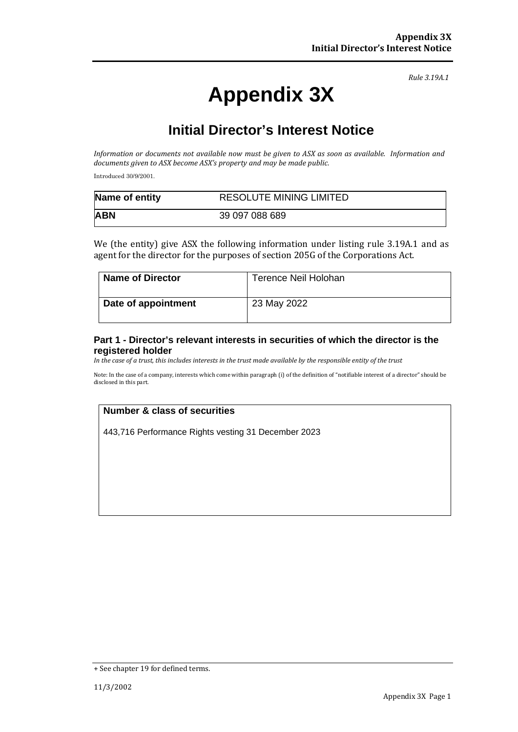# **Appendix 3X**

*Rule 3.19A.1*

## **Initial Director's Interest Notice**

*Information or documents not available now must be given to ASX as soon as available. Information and documents given to ASX become ASX's property and may be made public.*

Introduced 30/9/2001.

| Name of entity | <b>RESOLUTE MINING LIMITED</b> |
|----------------|--------------------------------|
| <b>ABN</b>     | 39 097 088 689                 |

We (the entity) give ASX the following information under listing rule 3.19A.1 and as agent for the director for the purposes of section 205G of the Corporations Act.

| <b>Name of Director</b> | Terence Neil Holohan |
|-------------------------|----------------------|
| Date of appointment     | 23 May 2022          |

#### **Part 1 - Director's relevant interests in securities of which the director is the registered holder**

*In the case of a trust, this includes interests in the trust made available by the responsible entity of the trust*

Note: In the case of a company, interests which come within paragraph (i) of the definition of "notifiable interest of a director" should be disclosed in this part.

### **Number & class of securities**

443,716 Performance Rights vesting 31 December 2023

<sup>+</sup> See chapter 19 for defined terms.